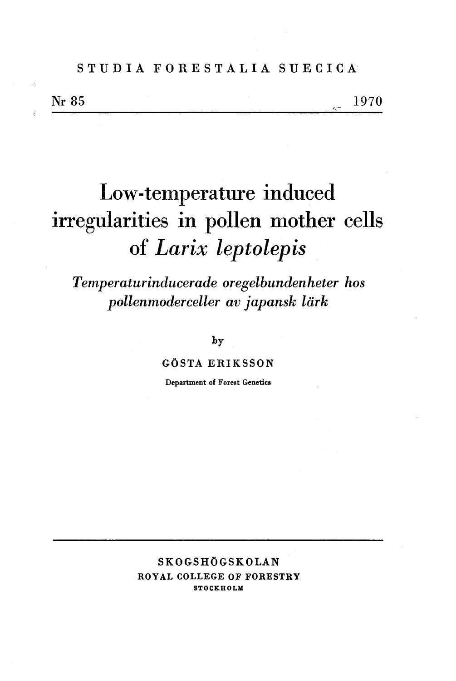# **STUDIA FORESTALIA SUECICA**

Nr 85

1970

# **Low-temperature induced irregularities in pollen mother cells of** *Larix* **leptolepis**

*Temperaturinducerade oregelbundenheter hos pollenmoderceller av japansk lark* 

**by** 

#### **GOSTA ERIKSSON**

**Department of Forest Genetics** 

## **SKOGSHOGSKOLAN ROYAL COLLEGE OF FORESTRY STOCKHOLM**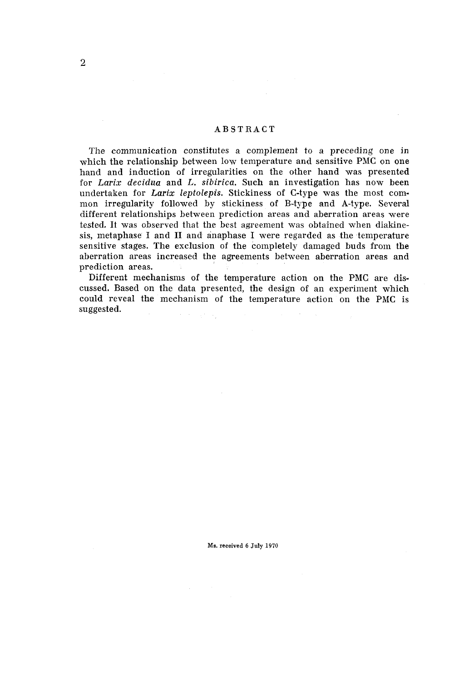#### **ABSTRACT**

The communication constitutes a complement to a preceding one in which the relationship between low temperature and sensitive PMC on one hand and induction of irregularities on the other hand was presented for Larix decidua and L. sibirica. Such an investigation has now been undertaken for Larix leptolepis. Stickiness of C-type was the most common irregularity followed by stickiness of B-type and A-type. Several different relationships between prediction areas and aberration areas were tested. It was observed that the best agreement was obtained when diakinesis, metaphase I and **I1** and anaphase I were regarded as the temperature sensitive stages. The exclusion of the completely damaged buds from the aberration areas increased the agreements between aberration areas and prediction areas.

Different mechanisms of the temperature action on the PMC are discussed. Based on the data presented, the design of an experiment which could reveal the mechanism of the temperature action on the PMC is suggested.  $\alpha = \alpha_{\rm max}$  ,  $\alpha_{\rm max}$ 

**Ms. received** *6* **July 1970**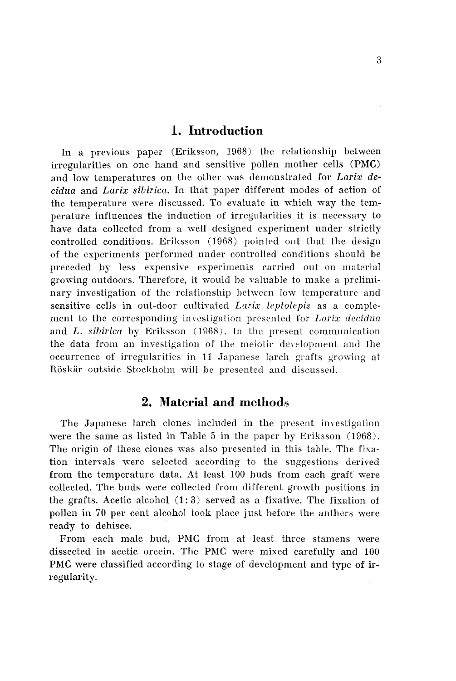## **1. Introduction**

In a previous paper (Eriksson, 1968) the relationship between irregularities on one hand and sensitive pollen mother cells (PMC) and low temperatures on the other was demonstrated for *Larix decidua* and *Larix sibiricn.* In that paper different modes of action of the temperature were discussed. To evaluate in which way the temperature influences the induction of irregularities it is necessary to have data collected from a well designed experiment under strictly controlled conditions. Eriksson (1968) pointed out that the design of the experiments performed under controlled conditions should be preceded by less expensive experiments carried out on material growing outdoors. Therefore, it would be valuable to make a preliminary investigation of the relationship between low temperature and sensitive cells in oul-door culti\-ated *Larix lepfolepis* as a complement to the corresponding investigation presented for *Larix decidua* and *L. sibirica* by Eriksson (1968). In the present communication the data from an investigation of the meiotic development and the occurrence of irregularities in 11 Japanese larch grafts growing at Röskär outside Stockholm will be presented and discussed.

# **2. Material and methods**

The Japanese larch clones included in the present investigation were the same as listed in Table 5 in the paper by Eriksson (1968). The origin of these clones was also presented in this table. The fixation intervals were selected according to the suggestions derived from the temperature data. At least 100 buds from each graft were collected. The buds were collected from different growth positions in the grafts. Acetic alcohol (1: **3)** served as a fixative. The fixation of pollen in 70 per cent alcohol took place just before the anthers were ready to dehisce.

From each male bud, PMC from at least three stamens were dissected in acetic orcein. The PhIC were mixed carefully and 100 PMC were classified according to stage of development and type of irregularity.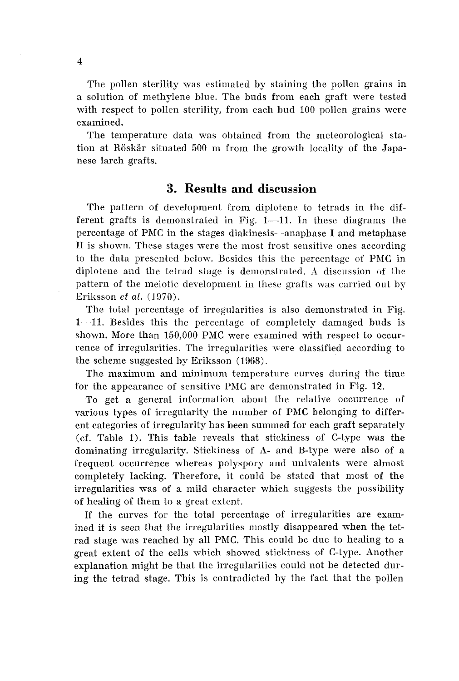The pollen sterility was estimated by staining the pollen grains in a solution of inethylene blue. The buds from each graft were tested with respect to pollen sterility, from each bud 100 pollen grains were examined.

The temperature data was obtained from the meteorological station at Röskär situated 500 m from the growth locality of the Japanese larch grafts.

# **3. Results and discussion**

The pattern of development from diplotene to tetrads in the different grafts is demonstrated in Fig.  $1-11$ . In these diagrams the percentage of PMC in the stages diakinesis-anaphase I and metaphase **11** is shown. Thcse stages were the most frost sensitive ones according to the data presented below. Besides lhis the percentage of PhIC in diplotene and lhe tetrad stage is dernonslraled. **A** discussion of the pattern of the meiotic development in these grafts was carried out by Erilisson et *al.* (1970).

The total percentage of irregularities is also demonstrated in Fig. 1-11. Besides this the percentage of completely damaged buds is shown. More than 150,000 PMC were examined with respect to occurrence of irregularities. The irregularities were classified according to the scheme suggested by Eriksson (1968).

The maximum and minimum temperature curves during the time for the appearance of sensitive PhIC are demonstrated in Fig. 12.

To get a general information about the relative occurrence of various types of irregularity the number of PMC belonging to different categories of irregularity has been summed for each graft separately (cf. Table 1). This table reveals that stickiness of C-type was the dominating irregularity. Stickiness of A- and B-type were also of a frequent occurrence whereas polyspory and uniralents were almost completely lacking. Therefore, it could be stated that most of the irregularities was of a mild character which suggests the possibility of healing of them to a great extent.

If the curves for the total percentage of irregularities are examined it is seen that the irregularities mostly disappeared when the tetrad stage was reached by all PMC. This could be due to healing to a great extent of the cells which showed stickiness of C-type. Another explanation might be that the irregularities could not be detected during the tetrad stage. This is contradicted by the fact that the pollen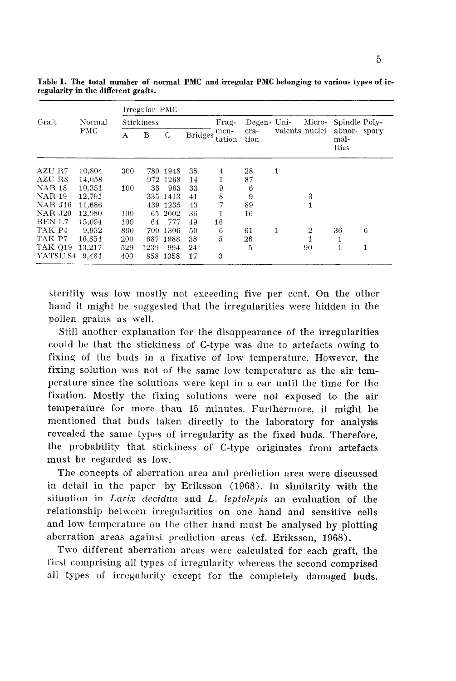|                | Normal     | Irregular PMC     |      |          |                |                |              |                |        |                              |   |  |
|----------------|------------|-------------------|------|----------|----------------|----------------|--------------|----------------|--------|------------------------------|---|--|
| Graft          |            | <b>Stickiness</b> |      |          |                | Frag-          | Degen- Uni-  |                | Micro- | Spindle Poly-                |   |  |
|                | <b>PMC</b> | А                 | в    | C        | <b>Bridges</b> | men-<br>tation | era-<br>tion | valents nuclei |        | abnor-spory<br>mal-<br>ities |   |  |
| AZU R7         | 10,804     | 300               |      | 780 1948 | 35             | 4              | 28           | 1              |        |                              |   |  |
| AZU R8         | 14,058     |                   |      | 972 1268 | 14             | 1              | 87           |                |        |                              |   |  |
| <b>NAR 18</b>  | 10,351     | 100               | 38   | 963      | 33             | 9              | 6            |                |        |                              |   |  |
| <b>NAR 19</b>  | 12,791     |                   |      | 335 1413 | 41             | 8              | 9            |                | 3      |                              |   |  |
| <b>NAR J16</b> | 11,686     |                   |      | 439 1235 | 43             | 7              | 89           |                |        |                              |   |  |
| <b>NAR J20</b> | 12,080     | 100               |      | 65 2002  | 36             | 1              | 16           |                |        |                              |   |  |
| REN L7         | 15,094     | 100               | 64   | 777      | 49             | 16             |              |                |        |                              |   |  |
| TAK P4         | 9,932      | 800               | 700  | 1306     | 50             | 6              | 61           | 1              | 2      | 36                           | 6 |  |
| TAK P7         | 16,854     | 200               | 687  | 1988     | 38             | 5              | 26           |                |        |                              |   |  |
| TAK 019        | 13.217     | 529               | 1239 | 994      | 24             |                | 5            |                | 90     | 1                            | 1 |  |
| YATSU S4 9,464 |            | 400               |      | 858 1358 | 17             | 3              |              |                |        |                              |   |  |

**Table 1. The total number of normal PMC and irregular PMC belonging to various types of irregularity in the different grafts.** 

sterility was low mostly not exceeding five per cent. On the other hand it might be suggested that the irregularities were hidden in the pollen grains as well.

Still another explanation for the disappearance of the irregularities could be that the stickiness of C-type was due to artefacts owing to fixing of the buds in a fixative of low temperature. However, the fixing solution was not of the same low temperature as the air temperature since the solutions were kept in a car until the time for the fixation. Mostly the fixing solutions were not exposed to the air temperature for more than 15 minutes. Furthermore, it might be mentioned that buds taken directly to the laboratory for analysis revealed the same types of irregularity as the fixed buds. Therefore, the probability that stickiness of C-type originates from artefacts must be regarded as low.

The concepts of aberration area and prediction area were discussed in detail in the paper by Eriksson (1968). In similarity with the situation in *Lariz decidua* and *L. leptolepis* an evaluation of the relationship between irregularities on one hand and sensitive cells and low temperature on the olher hand must be analysed by plotting aberration areas against prediction areas (cf. Eriksson, 1968).

Two different aberration areas were calculated for each graft, the first comprising all types of irregularity whereas the second comprised all types of irregularity except for the completely damaged buds.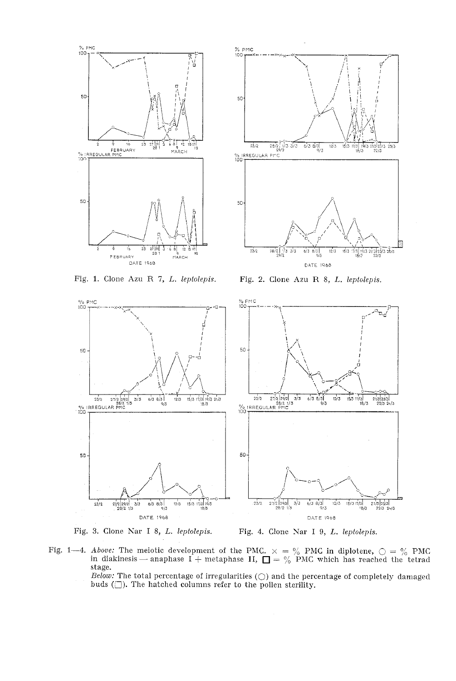

Fig. **1.** Clone Azu **R** 7, L. *leptolepis.* 



Fig. 2. Clone Azu R 8, L. *leptolepis.* 





Fig. 1—4. *Above:* The meiotic development of the PMC.  $\times = \%$  PMC in diplotene,  $\bigcirc = \%$  PMC in diakinesis — anaphase I + metaphase II,  $\Box = \%$  PMC which has reached the tetrad stage.

*Below:* The total percentage of irregularities  $\bigcirc$  and the percentage of completely damaged buds  $(\square)$ . The hatched columns refer to the pollen sterility.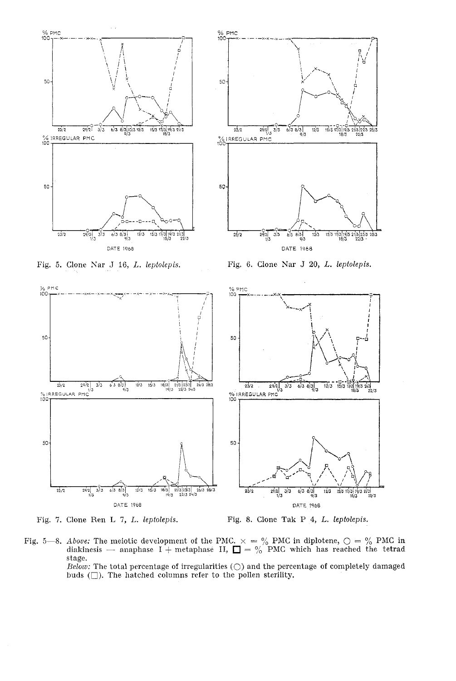





Fig. 6. Clone Nar J 20, L. *lepfolepis.* 





Fig. 8. Clone Tak P 4, L. *lepfolepis.* 

Fig. 5-8. *Above:* The meiotic development of the PMC.  $\times = \%$  PMC in diplotene,  $\bigcirc = \%$  PMC in diakinesis - anaphase I + metaphase II,  $\Box = \%$  PMC which has reached the tetrad stage.

 $Below:$  The total percentage of irregularities  $(\bigcirc)$  and the percentage of completely damaged buds  $(\Box)$ . The hatched columns refer to the pollen sterility.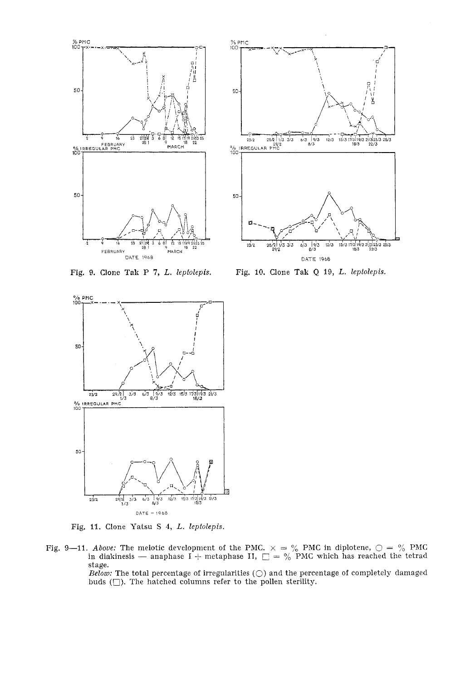

% $PMC$ 50  $\begin{array}{c|cc}\n & -9 & -9 & -9 \\
\hline\n & 23/2 & 28/2 & 1/3 & 3/3 \\
 & & 29/2 & \\
 & & 29/2 & \\
\hline\n100 & 1 & & \\
\end{array}$  $6/3$   $9/3$  $12/3$  $15/31$ 50  $\frac{1}{3223/3}$  25/3  $23/2$ 28/21 1/3 3/3  $6/3$ 12/3  $rac{19}{8}{3}$ DATE 1968

Fig. 9. Clone Tak P **7,** L. *lepfolepis.* 



Fig. 11. Clone Yatsu S 4, L. *leptolepis.* 

Fig. 9—11. *Above:* The meiotic development of the PMC.  $\times = \%$  PMC in diplotene,  $\bigcirc = \%$  PMC in diakinesis — anaphase I + metaphase II,  $\bigcirc = \%$  PMC which has reached the tetrad in diakinesis — anaphase I + metaphase II,  $\Box = \frac{9}{6}$  PMC which has reached the tetrad stage.

*Below:* The total percentage of irregularities  $(\bigcirc)$  and the percentage of completely damaged buds  $(\Box)$ . The hatched columns refer to the pollen sterility.

Fig. 10. Clone Tak Q 19, *L, leptolepis.*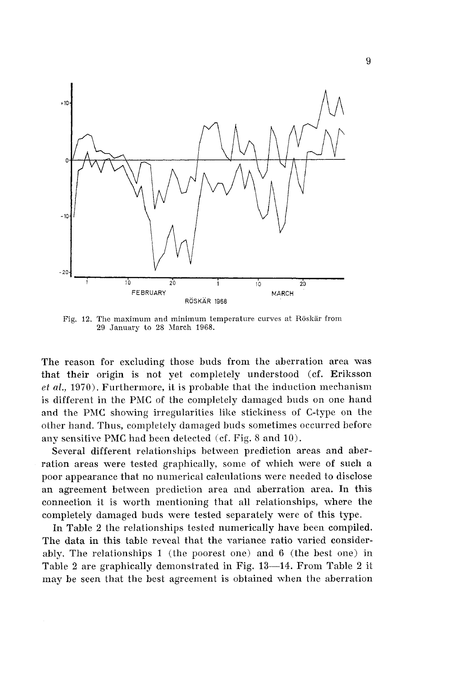

Fig. 12. The maximum and minimum temperature curves at Röskär from 29 January to 28 March 1968.

The reason for excluding those buds from the aberration area was that their origin is not yet completely understood (cf. Eriksson *et ul.,* 1970). Furthermore, it is probable that the induction mechanism is different in the PMC of the completely damaged buds on one hand and the PMC showing irregularities like stickiness of C-type on the other hand. Thus, completely damaged buds sometimes occurred before any sensitive PMC had been delected (cf. Fig. S and 10).

Several different relationships between prediction areas and aberration areas were tested graphically, some of which were of such a poor appearance that no numerical calculations were needed to disclose an agreement between prediction area and aberration area. In this connection it is worth mentioning that all relationships, where the completely damaged buds were tested separately were of this type.

In Table 2 the relationships tested numerically have been compiled. The data in this table reveal that the variance ratio varied considerably. The relationships 1 (the poorest one) and 6 (the best one) in Table 2 are graphically demonstrated in Fig. 13—14. From Table 2 it may be seen that the best agreement is obtained when the aberration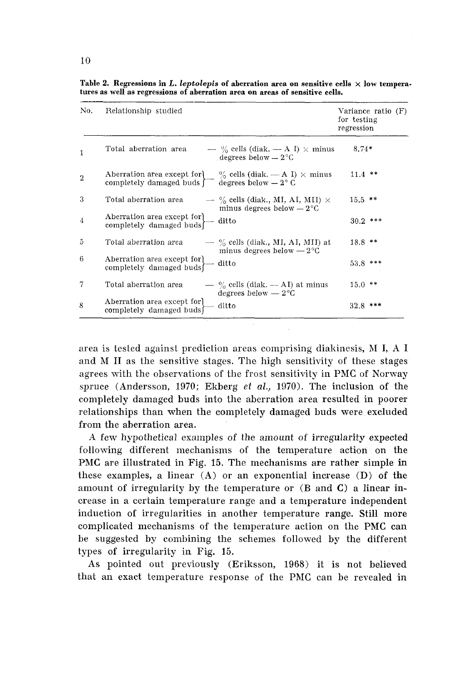| No.            | Relationship studied                                    |                                                                                              | Variance ratio (F)<br>for testing<br>regression |
|----------------|---------------------------------------------------------|----------------------------------------------------------------------------------------------|-------------------------------------------------|
| 1              | Total aberration area                                   | — % cells (diak. — A I) $\times$ minus<br>degrees below $-2^{\circ}$ C                       | $8.74*$                                         |
| $\overline{2}$ | Aberration area except for<br>completely damaged buds [ | $\%$ cells (diak. — A I) $\times$ minus<br>degrees below $-2^{\circ}$ C                      | $11.4$ **                                       |
| 3              | Total aberration area                                   | $\sim \frac{6}{6}$ cells (diak., MI, AI, MII) $\times$<br>minus degrees below $-2^{\circ}$ C | $15.5$ **                                       |
| $\overline{4}$ | Aberration area except for<br>completely damaged buds   | ditto                                                                                        | $30.2$ ***                                      |
| 5              | Total aberration area                                   | $\rightarrow$ % cells (diak., MI, AI, MII) at<br>minus degrees below $-2^{\circ}C$           | $18.8$ **                                       |
| 6              | Aberration area except for<br>completely damaged buds   | ditto                                                                                        | $53.8$ ***                                      |
| 7              | Total aberration area                                   | $-$ % cells (diak. -- AI) at minus<br>degrees below $-2^{\circ}C$                            | $15.0$ **                                       |
| 8              | Aberration area except for<br>completely damaged buds   | ditto                                                                                        | 32.8 ***                                        |

Table 2. Regressions in L. *leptolepis* of aberration area on sensitive cells  $\times$  low tempera**tures as well as regressions of aberration area on areas of sensitive cells.** 

area is tested against prediction areas comprising dialtinesis, **RI** I, A 1 and M **I1** as the sensitive stages. The high sensitivity of these stages agrees with the observations of the frost sensitivity in PMC of Norway spruce (Anderson, 1970; Ekberg ef *al.,* 1970). The inclusion of the completely damaged buds into the aberration area resulted in poorer relationships than when the completely damaged buds were excluded from the aberration area.

A few hypothetical examples of the amount of irregularity expected following different mechanisms of the temperature action on the PMC are illustrated in Fig. 15. The mechanisms are rather simple in these examples, a linear  $(A)$  or an exponential increase  $(D)$  of the amount of irregularity by the temperature or  $(B \text{ and } C)$  a linear increase in a certain temperature range and a temperature independent induction of irregularities in another temperature range. Still more complicated mechanisms of the temperature action on the PMC can be suggested by combining the schemes followed by the different types of irregularity in Fig. 15.

As pointed out previously (Eriksson, 1968) it is not believed that an exact temperature response of the PhIC can be revealed in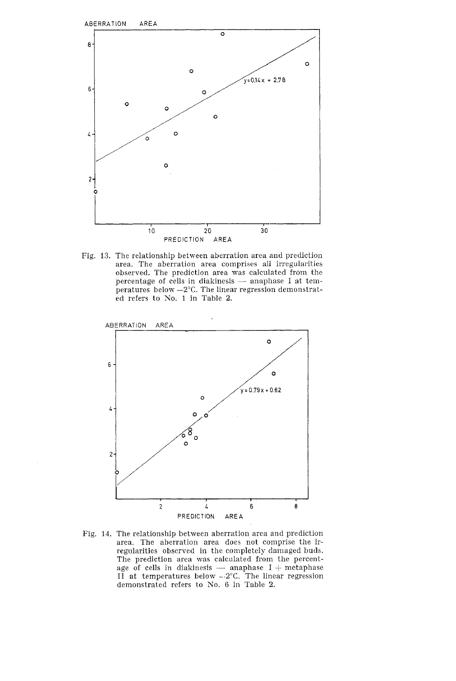

Fig. 13. The relationship between aberration area and prediction area. The aberration area comprises all irregularities observed. The prediction area was calculated from the percentage of cells in dialrinesis — anaphase I at tem-<br>percentage of cells in dialrinesis — anaphase I at temobserved. The prediction area was calculated from the peratures below  $-2$ °C. The linear regression demonstrated refers to No. 1 in Table 2.



Fig. 14. The relationship between aberration area and prediction area. The aberration area does not comprise the irregularities observed in the completely damaged buds. The prediction area was calculated from the percentregularities observed in the completely damaged buds.<br>The prediction area was calculated from the percent-<br>age of cells in diakinesis — anaphase  $I +$  metaphase<br>II at temperatures below  $-.2^{\circ}C$ . The linear regression demonstrated refers to No. 6 in Table 2.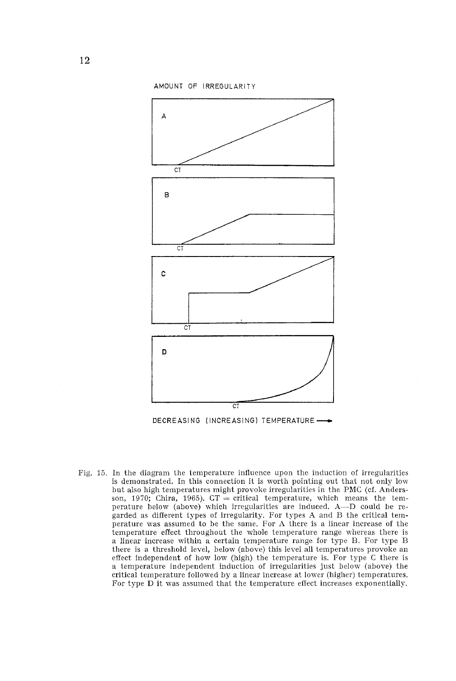

Fig. 15. In the diagram the temperature influence upon the induction of irregularities is demonstrated. In this connection it is worth pointing out that not only low but also high temperatures might provoke irregularities in the PMC (cf. Andersson, 1970; Chira, 1965).  $CT = critical$  temperature, which means the temperature below (above) which irregularities are induced. A-D could be regarded as different types of irregularity. For types A and B the critical temperature was assumed to be the same. For A there is a linear increase of the temperature effect throughout the whole temperature range whereas there is a linear increase within a certain temperature range for type B. For type B there is a threshold level, below (above) this level all temperatures provoke an effect independent of how low (high) the temperature is. For type C there is a temperature independent induction of irregularities just below (above) the critical temperature followed by a linear increase at lower (higher) temperatures. For type D it was assumed that the temperature effect increases exponentially.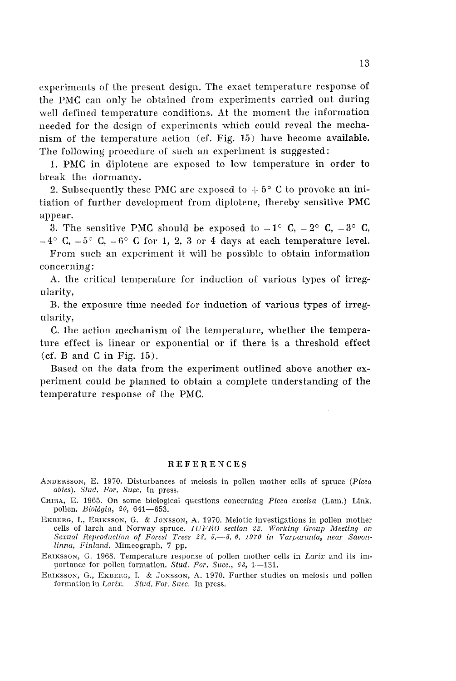experiments of the present design. The exact temperature response of the PMC can only be obtained from experiments carried out during well defined temperature conditions. At the moment the information needed for the design of experiments which could reveal the mechanism of the temperature action (cf. Fig. 15) have become available. The following procedure of such an experiment is suggested:

1. PhIC in diplotene are exposed to low temperature in order to break the dormancy.

2. Subsequently these PMC are exposed to  $+5^{\circ}$  C to provoke an initiation of further development from diplotene, thereby sensitive PMC appear.

3. The sensitive PMC should be exposed to  $-1^{\circ}$  C,  $-2^{\circ}$  C,  $-3^{\circ}$  C,  $-4^{\circ}$  C,  $-5^{\circ}$  C,  $-6^{\circ}$  C for 1, 2, 3 or 4 days at each temperature level.

From such an experiment it will be possible to obtain information concerning:

**A.** the critical temperature for induction of various types of irregularity,

B. the exposure time needed for induction of various types of irregularity,

C. the action mechanism of the temperature, whether the temperature effect is linear or exponential or if there is a threshold effect  $(cf. B and C in Fig. 15)$ .

Based on the data from the experiment outlined above another experiment could be planned to obtain a complete understanding of the temperature response of the PMC.

#### REFERENCES

ANDERSSON, E. 1970. Disturbances of meiosis in pollen mother cells of spruce *(Picea abies). Sfud. For. Suec.* In press.

- CHIRA, E. 1965. On some biological questions concerning *Picea escelsa* (Lam.) Link. pollen. *Bioldgia,* 20, 641-653.
- EKBERG, I., ERIKSSON, G. & JONSSON, A. 1970. Meiotic investigations in pollen mother cells of larch and Norway spruce. *IUFRO section* 22. *Working Group Meeting on*  Sexual Reproduction of Forest Trees 28. 5. -- 5. 6. 1970 in Varparanta, near Savon*linna, Finland.* Mimeograph, 7 pp.
- ERIKSSON, G. 1968. Temperature response of pollen mother cells in *Larix* and its importance for pollen formation. *Stud. For. Suec., 63,* 1-131.
- ERIKSSON, G., EKBERG, I. & JONSSON, A. 1970. Further studies on meiosis and pollen formation in *Laris. Stud. For. Suec. In* press.